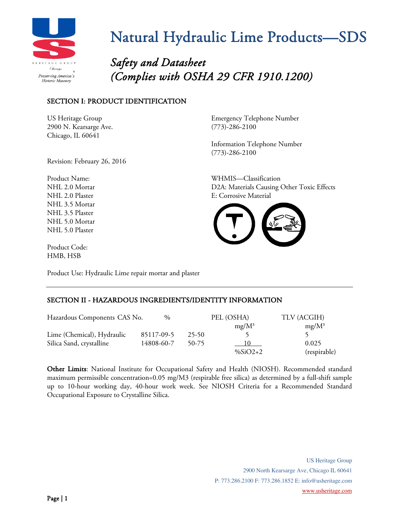

*Safety and Datasheet (Complies with OSHA 29 CFR 1910.1200)*

### SECTION I: PRODUCT IDENTIFICATION

2900 N. Kearsarge Ave. (773)-286-2100 Chicago, IL 60641

Revision: February 26, 2016

US Heritage Group **Emergency Telephone Number** 

Information Telephone Number (773)-286-2100

Product Name: WHMIS—Classification

NHL 2.0 Mortar D2A: Materials Causing Other Toxic Effects NHL 2.0 Plaster E: Corrosive Material NHL 3.5 Mortar NHL 3.5 Plaster NHL 5.0 Mortar NHL 5.0 Plaster

Product Code: HMB, HSB

Product Use: Hydraulic Lime repair mortar and plaster

### SECTION II - HAZARDOUS INGREDIENTS/IDENTITY INFORMATION

| Hazardous Components CAS No. | $\%$       |       | PEL (OSHA) | TLV (ACGIH)  |
|------------------------------|------------|-------|------------|--------------|
|                              |            |       | $mg/M^3$   | $mg/M^3$     |
| Lime (Chemical), Hydraulic   | 85117-09-5 | 25-50 |            |              |
| Silica Sand, crystalline     | 14808-60-7 | 50-75 | 10         | 0.025        |
|                              |            |       | $%SiO2+2$  | (respirable) |

Other Limits: National Institute for Occupational Safety and Health (NIOSH). Recommended standard maximum permissible concentration=0.05 mg/M3 (respirable free silica) as determined by a full-shift sample up to 10-hour working day, 40-hour work week. See NIOSH Criteria for a Recommended Standard Occupational Exposure to Crystalline Silica.

> US Heritage Group 2900 North Kearsarge Ave, Chicago IL 60641 P: 773.286.2100 F: 773.286.1852 E: info@usheritage.com www.usheritage.com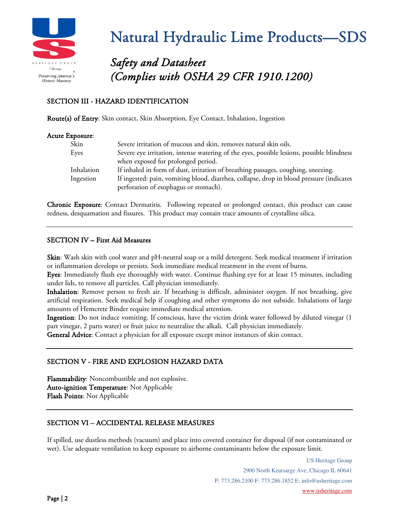

### *Safety and Datasheet (Complies with OSHA 29 CFR 1910.1200)*

### SECTION III - HAZARD IDENTIFICATION

Route(s) of Entry: Skin contact, Skin Absorption, Eye Contact, Inhalation, Ingestion

#### Acute Exposure:

| Skin       | Severe irritation of mucous and skin, removes natural skin oils.                          |
|------------|-------------------------------------------------------------------------------------------|
| Eyes       | Severe eye irritation, intense watering of the eyes, possible lesions, possible blindness |
|            | when exposed for prolonged period.                                                        |
| Inhalation | If inhaled in form of dust, irritation of breathing passages, coughing, sneezing.         |
| Ingestion  | If ingested: pain, vomiting blood, diarrhea, collapse, drop in blood pressure (indicates  |
|            | perforation of esophagus or stomach).                                                     |

Chronic Exposure: Contact Dermatitis. Following repeated or prolonged contact, this product can cause redness, desquamation and fissures. This product may contain trace amounts of crystalline silica.

#### SECTION IV – First Aid Measures

Skin: Wash skin with cool water and pH-neutral soap or a mild detergent. Seek medical treatment if irritation or inflammation develops or persists. Seek immediate medical treatment in the event of burns.

Eyes: Immediately flush eye thoroughly with water. Continue flushing eye for at least 15 minutes, including under lids, to remove all particles. Call physician immediately.

Inhalation: Remove person to fresh air. If breathing is difficult, administer oxygen. If not breathing, give artificial respiration. Seek medical help if coughing and other symptoms do not subside. Inhalations of large amounts of Hemcrete Binder require immediate medical attention.

Ingestion: Do not induce vomiting. If conscious, have the victim drink water followed by diluted vinegar (1 part vinegar, 2 parts water) or fruit juice to neutralize the alkali. Call physician immediately.

General Advice: Contact a physician for all exposure except minor instances of skin contact.

### SECTION V - FIRE AND EXPLOSION HAZARD DATA

Flammability: Noncombustible and not explosive. Auto-ignition Temperature: Not Applicable Flash Points: Not Applicable

### SECTION VI – ACCIDENTAL RELEASE MEASURES

If spilled, use dustless methods (vacuum) and place into covered container for disposal (if not contaminated or wet). Use adequate ventilation to keep exposure to airborne contaminants below the exposure limit.

> US Heritage Group 2900 North Kearsarge Ave, Chicago IL 60641 P: 773.286.2100 F: 773.286.1852 E: info@usheritage.com www.usheritage.com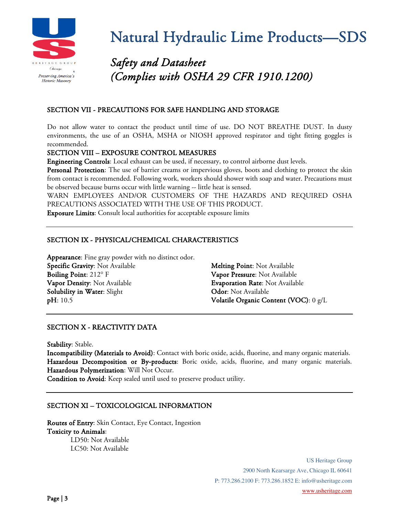

*Safety and Datasheet (Complies with OSHA 29 CFR 1910.1200)*

### SECTION VII - PRECAUTIONS FOR SAFE HANDLING AND STORAGE

Do not allow water to contact the product until time of use. DO NOT BREATHE DUST. In dusty environments, the use of an OSHA, MSHA or NIOSH approved respirator and tight fitting goggles is recommended.

### SECTION VIII – EXPOSURE CONTROL MEASURES

Engineering Controls: Local exhaust can be used, if necessary, to control airborne dust levels.

Personal Protection: The use of barrier creams or impervious gloves, boots and clothing to protect the skin from contact is recommended. Following work, workers should shower with soap and water. Precautions must be observed because burns occur with little warning -- little heat is sensed.

WARN EMPLOYEES AND/OR CUSTOMERS OF THE HAZARDS AND REQUIRED OSHA PRECAUTIONS ASSOCIATED WITH THE USE OF THIS PRODUCT.

Exposure Limits: Consult local authorities for acceptable exposure limits

### SECTION IX - PHYSICAL/CHEMICAL CHARACTERISTICS

Appearance: Fine gray powder with no distinct odor. Specific Gravity: Not Available Melting Point: Not Available **Boiling Point:** 212° F Vapor Pressure: Not Available Vapor Density: Not Available **Evaporation Rate**: Not Available Solubility in Water: Slight Color: Not Available pH: 10.5 Volatile Organic Content (VOC): 0 g/L

### SECTION X - REACTIVITY DATA

Stability: Stable.

Incompatibility (Materials to Avoid): Contact with boric oxide, acids, fluorine, and many organic materials. Hazardous Decomposition or By-products: Boric oxide, acids, fluorine, and many organic materials. Hazardous Polymerization: Will Not Occur.

Condition to Avoid: Keep sealed until used to preserve product utility.

### SECTION XI – TOXICOLOGICAL INFORMATION

Routes of Entry: Skin Contact, Eye Contact, Ingestion Toxicity to Animals: LD50: Not Available LC50: Not Available

> US Heritage Group 2900 North Kearsarge Ave, Chicago IL 60641 P: 773.286.2100 F: 773.286.1852 E: info@usheritage.com www.usheritage.com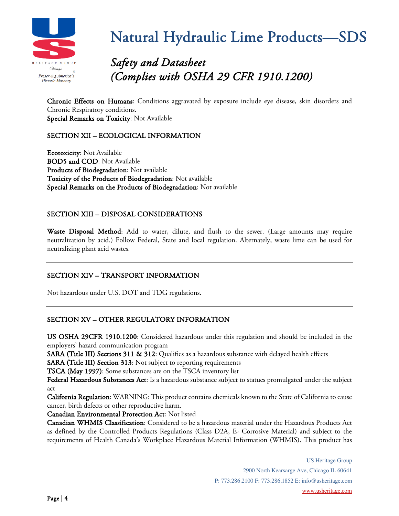

### *Safety and Datasheet (Complies with OSHA 29 CFR 1910.1200)*

Chronic Effects on Humans: Conditions aggravated by exposure include eye disease, skin disorders and Chronic Respiratory conditions. Special Remarks on Toxicity: Not Available

### SECTION XII – ECOLOGICAL INFORMATION

Ecotoxicity: Not Available BOD5 and COD: Not Available Products of Biodegradation: Not available Toxicity of the Products of Biodegradation: Not available Special Remarks on the Products of Biodegradation: Not available

### SECTION XIII – DISPOSAL CONSIDERATIONS

Waste Disposal Method: Add to water, dilute, and flush to the sewer. (Large amounts may require neutralization by acid.) Follow Federal, State and local regulation. Alternately, waste lime can be used for neutralizing plant acid wastes.

### SECTION XIV – TRANSPORT INFORMATION

Not hazardous under U.S. DOT and TDG regulations.

### SECTION XV – OTHER REGULATORY INFORMATION

US OSHA 29CFR 1910.1200: Considered hazardous under this regulation and should be included in the employers' hazard communication program

SARA (Title III) Sections 311 & 312: Qualifies as a hazardous substance with delayed health effects

SARA (Title III) Section 313: Not subject to reporting requirements

TSCA (May 1997): Some substances are on the TSCA inventory list

Federal Hazardous Substances Act: Is a hazardous substance subject to statues promulgated under the subject act

California Regulation: WARNING: This product contains chemicals known to the State of California to cause cancer, birth defects or other reproductive harm.

Canadian Environmental Protection Act: Not listed

Canadian WHMIS Classification: Considered to be a hazardous material under the Hazardous Products Act as defined by the Controlled Products Regulations (Class D2A, E- Corrosive Material) and subject to the requirements of Health Canada's Workplace Hazardous Material Information (WHMIS). This product has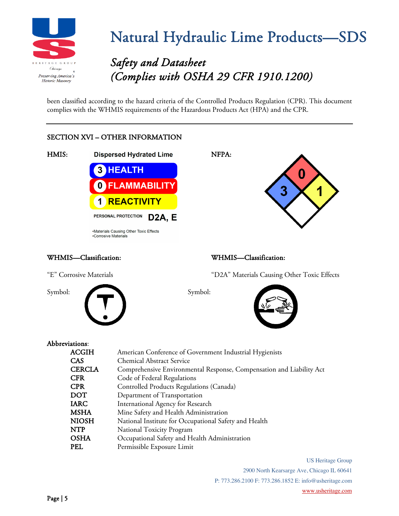

### *Safety and Datasheet (Complies with OSHA 29 CFR 1910.1200)*

been classified according to the hazard criteria of the Controlled Products Regulation (CPR). This document complies with the WHMIS requirements of the Hazardous Products Act (HPA) and the CPR.

### SECTION XVI – OTHER INFORMATION



•Materials Causing Other Toxic Effects Corrosive Materials



### WHMIS—Classification: WHMIS—Classification:



"E" Corrosive Materials "D2A" Materials Causing Other Toxic Effects





### Abbreviations:

| иацина:       |                                                                      |
|---------------|----------------------------------------------------------------------|
| <b>ACGIH</b>  | American Conference of Government Industrial Hygienists              |
| <b>CAS</b>    | <b>Chemical Abstract Service</b>                                     |
| <b>CERCLA</b> | Comprehensive Environmental Response, Compensation and Liability Act |
| <b>CFR</b>    | Code of Federal Regulations                                          |
| <b>CPR</b>    | Controlled Products Regulations (Canada)                             |
| DOT           | Department of Transportation                                         |
| <b>IARC</b>   | International Agency for Research                                    |
| <b>MSHA</b>   | Mine Safety and Health Administration                                |
| <b>NIOSH</b>  | National Institute for Occupational Safety and Health                |
| <b>NTP</b>    | National Toxicity Program                                            |
| <b>OSHA</b>   | Occupational Safety and Health Administration                        |
| PEL           | Permissible Exposure Limit                                           |
|               |                                                                      |

US Heritage Group 2900 North Kearsarge Ave, Chicago IL 60641 P: 773.286.2100 F: 773.286.1852 E: info@usheritage.com

#### www.usheritage.com